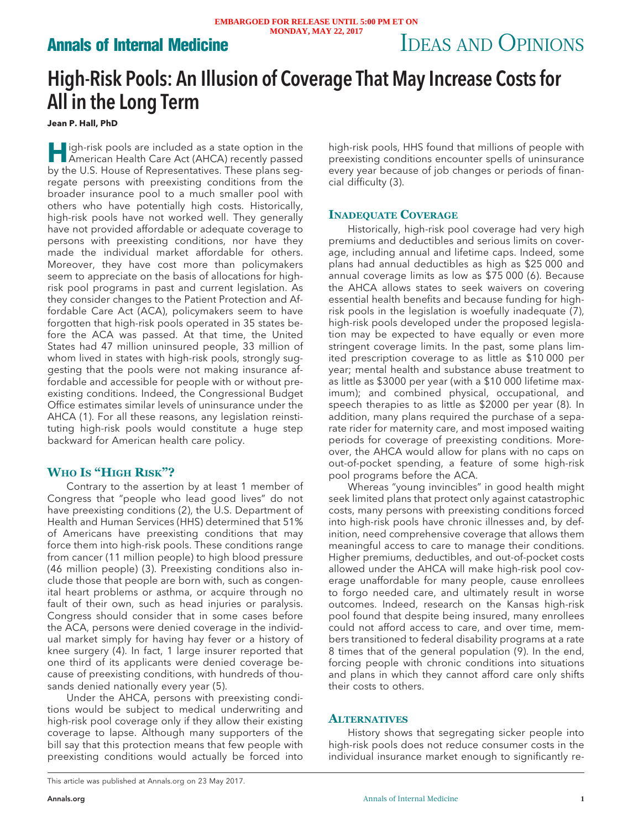## **Annals of Internal Medicine IDEAS AND OPINIONS**

# High-Risk Pools: An Illusion of Coverage That May Increase Costs for All in the Long Term

**Jean P. Hall, PhD**

**High-risk pools are included as a state option in the**<br>American Health Care Act (AHCA) recently passed by the U.S. House of Representatives. These plans segregate persons with preexisting conditions from the broader insurance pool to a much smaller pool with others who have potentially high costs. Historically, high-risk pools have not worked well. They generally have not provided affordable or adequate coverage to persons with preexisting conditions, nor have they made the individual market affordable for others. Moreover, they have cost more than policymakers seem to appreciate on the basis of allocations for highrisk pool programs in past and current legislation. As they consider changes to the Patient Protection and Affordable Care Act (ACA), policymakers seem to have forgotten that high-risk pools operated in 35 states before the ACA was passed. At that time, the United States had 47 million uninsured people, 33 million of whom lived in states with high-risk pools, strongly suggesting that the pools were not making insurance affordable and accessible for people with or without preexisting conditions. Indeed, the Congressional Budget Office estimates similar levels of uninsurance under the AHCA (1). For all these reasons, any legislation reinstituting high-risk pools would constitute a huge step backward for American health care policy.

## **WHO IS "HIGH RISK"?**

Contrary to the assertion by at least 1 member of Congress that "people who lead good lives" do not have preexisting conditions (2), the U.S. Department of Health and Human Services (HHS) determined that 51% of Americans have preexisting conditions that may force them into high-risk pools. These conditions range from cancer (11 million people) to high blood pressure (46 million people) (3). Preexisting conditions also include those that people are born with, such as congenital heart problems or asthma, or acquire through no fault of their own, such as head injuries or paralysis. Congress should consider that in some cases before the ACA, persons were denied coverage in the individual market simply for having hay fever or a history of knee surgery (4). In fact, 1 large insurer reported that one third of its applicants were denied coverage because of preexisting conditions, with hundreds of thousands denied nationally every year (5).

Under the AHCA, persons with preexisting conditions would be subject to medical underwriting and high-risk pool coverage only if they allow their existing coverage to lapse. Although many supporters of the bill say that this protection means that few people with preexisting conditions would actually be forced into high-risk pools, HHS found that millions of people with preexisting conditions encounter spells of uninsurance every year because of job changes or periods of financial difficulty (3).

### **INADEQUATE COVERAGE**

Historically, high-risk pool coverage had very high premiums and deductibles and serious limits on coverage, including annual and lifetime caps. Indeed, some plans had annual deductibles as high as \$25 000 and annual coverage limits as low as \$75 000 (6). Because the AHCA allows states to seek waivers on covering essential health benefits and because funding for highrisk pools in the legislation is woefully inadequate (7), high-risk pools developed under the proposed legislation may be expected to have equally or even more stringent coverage limits. In the past, some plans limited prescription coverage to as little as \$10 000 per year; mental health and substance abuse treatment to as little as \$3000 per year (with a \$10 000 lifetime maximum); and combined physical, occupational, and speech therapies to as little as \$2000 per year (8). In addition, many plans required the purchase of a separate rider for maternity care, and most imposed waiting periods for coverage of preexisting conditions. Moreover, the AHCA would allow for plans with no caps on out-of-pocket spending, a feature of some high-risk pool programs before the ACA.

Whereas "young invincibles" in good health might seek limited plans that protect only against catastrophic costs, many persons with preexisting conditions forced into high-risk pools have chronic illnesses and, by definition, need comprehensive coverage that allows them meaningful access to care to manage their conditions. Higher premiums, deductibles, and out-of-pocket costs allowed under the AHCA will make high-risk pool coverage unaffordable for many people, cause enrollees to forgo needed care, and ultimately result in worse outcomes. Indeed, research on the Kansas high-risk pool found that despite being insured, many enrollees could not afford access to care, and over time, members transitioned to federal disability programs at a rate 8 times that of the general population (9). In the end, forcing people with chronic conditions into situations and plans in which they cannot afford care only shifts their costs to others.

#### **ALTERNATIVES**

History shows that segregating sicker people into high-risk pools does not reduce consumer costs in the individual insurance market enough to significantly re-

This article was published at [Annals.org](http://www.annals.org) on 23 May 2017.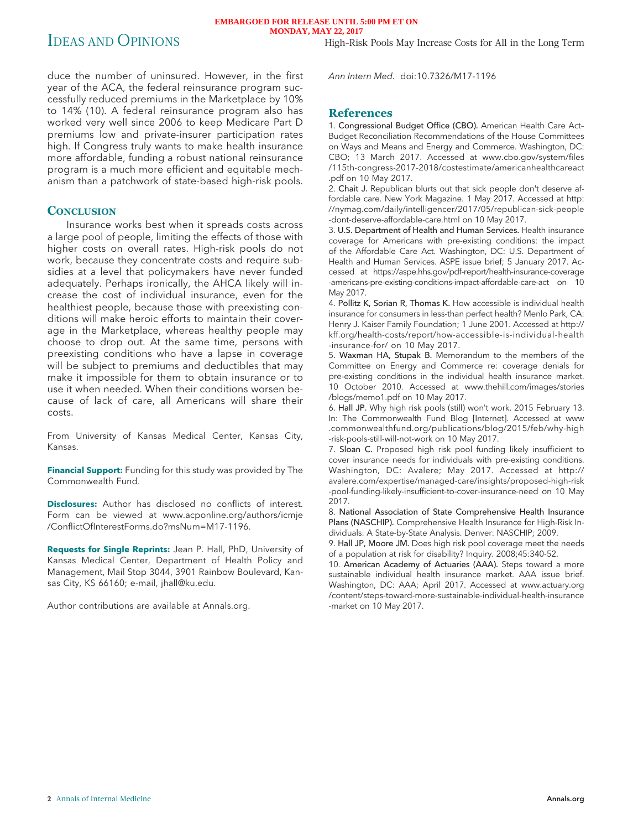IDEAS AND OPINIONS High-Risk Pools May Increase Costs for All in the Long Term

duce the number of uninsured. However, in the first year of the ACA, the federal reinsurance program successfully reduced premiums in the Marketplace by 10% to 14% (10). A federal reinsurance program also has worked very well since 2006 to keep Medicare Part D premiums low and private-insurer participation rates high. If Congress truly wants to make health insurance more affordable, funding a robust national reinsurance program is a much more efficient and equitable mechanism than a patchwork of state-based high-risk pools.

#### **CONCLUSION**

Insurance works best when it spreads costs across a large pool of people, limiting the effects of those with higher costs on overall rates. High-risk pools do not work, because they concentrate costs and require subsidies at a level that policymakers have never funded adequately. Perhaps ironically, the AHCA likely will increase the cost of individual insurance, even for the healthiest people, because those with preexisting conditions will make heroic efforts to maintain their coverage in the Marketplace, whereas healthy people may choose to drop out. At the same time, persons with preexisting conditions who have a lapse in coverage will be subject to premiums and deductibles that may make it impossible for them to obtain insurance or to use it when needed. When their conditions worsen because of lack of care, all Americans will share their costs.

From University of Kansas Medical Center, Kansas City, Kansas.

**Financial Support:** Funding for this study was provided by The Commonwealth Fund.

**Disclosures:** Author has disclosed no conflicts of interest. Form can be viewed at [www.acponline.org/authors/icmje](http://www.acponline.org/authors/icmje/ConflictOfInterestForms.do?msNum=M17-1196) [/ConflictOfInterestForms.do?msNum=M17-1196.](http://www.acponline.org/authors/icmje/ConflictOfInterestForms.do?msNum=M17-1196)

**Requests for Single Reprints:** Jean P. Hall, PhD, University of Kansas Medical Center, Department of Health Policy and Management, Mail Stop 3044, 3901 Rainbow Boulevard, Kansas City, KS 66160; e-mail, [jhall@ku.edu.](mailto:jhall@ku.edu)

Author contributions are available at [Annals.org.](http://www.annals.org)

Ann Intern Med. doi:10.7326/M17-1196

#### **References**

1. Congressional Budget Office (CBO). American Health Care Act– Budget Reconciliation Recommendations of the House Committees on Ways and Means and Energy and Commerce. Washington, DC: CBO; 13 March 2017. Accessed at [www.cbo.gov/system/files](http://www.cbo.gov/system/files/115th-congress-2017-2018/costestimate/americanhealthcareact.pdf) [/115th-congress-2017-2018/costestimate/americanhealthcareact](http://www.cbo.gov/system/files/115th-congress-2017-2018/costestimate/americanhealthcareact.pdf) [.pdf](http://www.cbo.gov/system/files/115th-congress-2017-2018/costestimate/americanhealthcareact.pdf) on 10 May 2017.

2. Chait J. Republican blurts out that sick people don't deserve affordable care. New York Magazine. 1 May 2017. Accessed at [http:](http://nymag.com/daily/intelligencer/2017/05/republican-sick-people-dont-deserve-affordable-care.html) [//nymag.com/daily/intelligencer/2017/05/republican-sick-people](http://nymag.com/daily/intelligencer/2017/05/republican-sick-people-dont-deserve-affordable-care.html) [-dont-deserve-affordable-care.html](http://nymag.com/daily/intelligencer/2017/05/republican-sick-people-dont-deserve-affordable-care.html) on 10 May 2017.

3. U.S. Department of Health and Human Services. Health insurance coverage for Americans with pre-existing conditions: the impact of the Affordable Care Act. Washington, DC: U.S. Department of Health and Human Services. ASPE issue brief; 5 January 2017. Accessed at [https://aspe.hhs.gov/pdf-report/health-insurance-coverage](https://aspe.hhs.gov/pdf-report/health-insurance-coverage-americans-pre-existing-conditions-impact-affordable-care-act) [-americans-pre-existing-conditions-impact-affordable-care-act](https://aspe.hhs.gov/pdf-report/health-insurance-coverage-americans-pre-existing-conditions-impact-affordable-care-act) on 10 May 2017.

4. Pollitz K, Sorian R, Thomas K. How accessible is individual health insurance for consumers in less-than perfect health? Menlo Park, CA: Henry J. Kaiser Family Foundation; 1 June 2001. Accessed at [http://](http://kff.org/health-costs/report/how-accessible-is-individual-health-insurance-for/) [kff.org/health-costs/report/how-accessible-is-individual-health](http://kff.org/health-costs/report/how-accessible-is-individual-health-insurance-for/) [-insurance-for/](http://kff.org/health-costs/report/how-accessible-is-individual-health-insurance-for/) on 10 May 2017.

5. Waxman HA, Stupak B. Memorandum to the members of the Committee on Energy and Commerce re: coverage denials for pre-existing conditions in the individual health insurance market. 10 October 2010. Accessed at [www.thehill.com/images/stories](http://www.thehill.com/images/stories/blogs/memo1.pdf) [/blogs/memo1.pdf](http://www.thehill.com/images/stories/blogs/memo1.pdf) on 10 May 2017.

6. Hall JP. Why high risk pools (still) won't work. 2015 February 13. In: The Commonwealth Fund Blog [Internet]. Accessed at [www](http://www.commonwealthfund.org/publications/blog/2015/feb/why-high-risk-pools-still-will-not-work) [.commonwealthfund.org/publications/blog/2015/feb/why-high](http://www.commonwealthfund.org/publications/blog/2015/feb/why-high-risk-pools-still-will-not-work) [-risk-pools-still-will-not-work](http://www.commonwealthfund.org/publications/blog/2015/feb/why-high-risk-pools-still-will-not-work) on 10 May 2017.

7. Sloan C. Proposed high risk pool funding likely insufficient to cover insurance needs for individuals with pre-existing conditions. Washington, DC: Avalere; May 2017. Accessed at [http://](http://avalere.com/expertise/managed-care/insights/proposed-high-risk-pool-funding-likely-insufficient-to-cover-insurance-need) [avalere.com/expertise/managed-care/insights/proposed-high-risk](http://avalere.com/expertise/managed-care/insights/proposed-high-risk-pool-funding-likely-insufficient-to-cover-insurance-need) [-pool-funding-likely-insufficient-to-cover-insurance-need](http://avalere.com/expertise/managed-care/insights/proposed-high-risk-pool-funding-likely-insufficient-to-cover-insurance-need) on 10 May 2017.

8. National Association of State Comprehensive Health Insurance Plans (NASCHIP). Comprehensive Health Insurance for High-Risk Individuals: A State-by-State Analysis. Denver: NASCHIP; 2009.

9. Hall JP, Moore JM. Does high risk pool coverage meet the needs of a population at risk for disability? Inquiry. 2008;45:340-52.

10. American Academy of Actuaries (AAA). Steps toward a more sustainable individual health insurance market. AAA issue brief. Washington, DC: AAA; April 2017. Accessed at [www.actuary.org](http://www.actuary.org/content/steps-toward-more-sustainable-individual-health-insurance-market) [/content/steps-toward-more-sustainable-individual-health-insurance](http://www.actuary.org/content/steps-toward-more-sustainable-individual-health-insurance-market) [-market](http://www.actuary.org/content/steps-toward-more-sustainable-individual-health-insurance-market) on 10 May 2017.